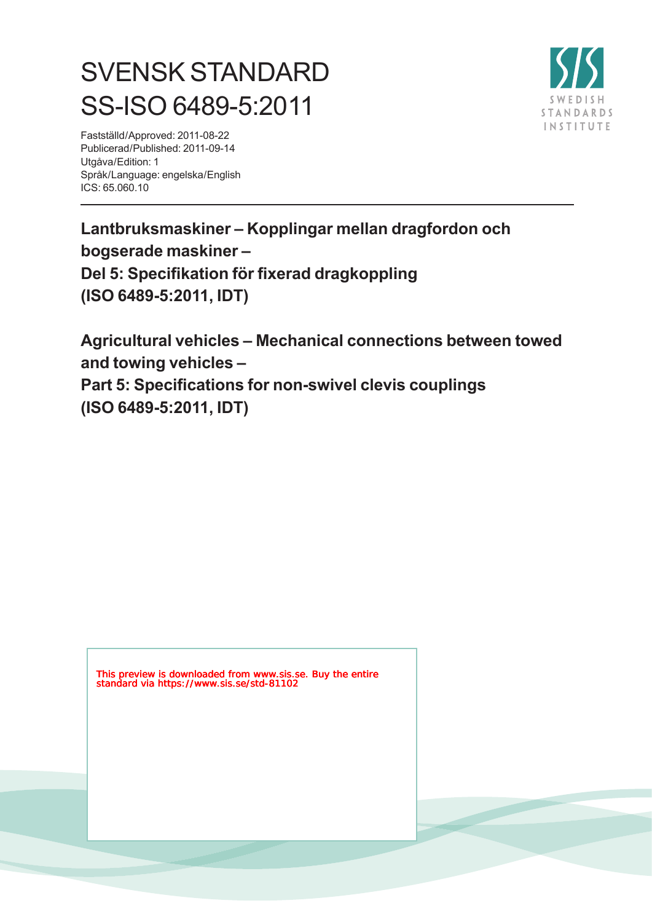# SVENSK STANDARD SS-ISO 6489-5:2011

**STANDARDS** INSTITUTE

Fastställd/Approved: 2011-08-22 Publicerad/Published: 2011-09-14 Utgåva/Edition: 1 Språk/Language: engelska/English ICS: 65.060.10

**Lantbruksmaskiner – Kopplingar mellan dragfordon och bogserade maskiner – Del 5: Specifikation för fixerad dragkoppling (ISO 6489‑5:2011, IDT)**

**Agricultural vehicles – Mechanical connections between towed and towing vehicles – Part 5: Specifications for non-swivel clevis couplings (ISO 6489‑5:2011, IDT)**

This preview is downloaded from www.sis.se. Buy the entire standard via https://www.sis.se/std-81102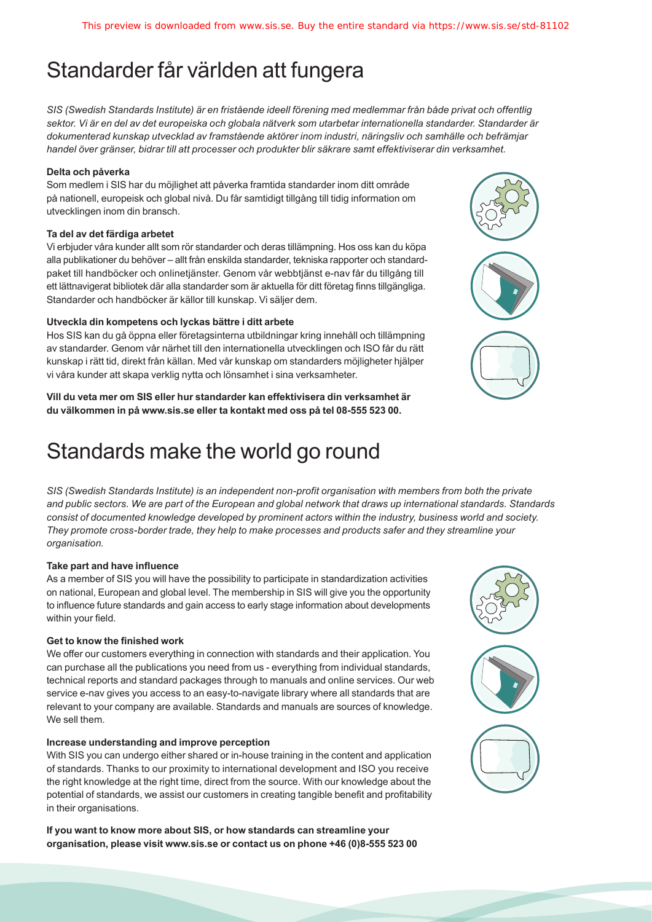## Standarder får världen att fungera

*SIS (Swedish Standards Institute) är en fristående ideell förening med medlemmar från både privat och offentlig sektor. Vi är en del av det europeiska och globala nätverk som utarbetar internationella standarder. Standarder är dokumenterad kunskap utvecklad av framstående aktörer inom industri, näringsliv och samhälle och befrämjar handel över gränser, bidrar till att processer och produkter blir säkrare samt effektiviserar din verksamhet.* 

#### **Delta och påverka**

Som medlem i SIS har du möjlighet att påverka framtida standarder inom ditt område på nationell, europeisk och global nivå. Du får samtidigt tillgång till tidig information om utvecklingen inom din bransch.

### **Ta del av det färdiga arbetet**

Vi erbjuder våra kunder allt som rör standarder och deras tillämpning. Hos oss kan du köpa alla publikationer du behöver – allt från enskilda standarder, tekniska rapporter och standardpaket till handböcker och onlinetjänster. Genom vår webbtjänst e-nav får du tillgång till ett lättnavigerat bibliotek där alla standarder som är aktuella för ditt företag finns tillgängliga. Standarder och handböcker är källor till kunskap. Vi säljer dem.

### **Utveckla din kompetens och lyckas bättre i ditt arbete**

Hos SIS kan du gå öppna eller företagsinterna utbildningar kring innehåll och tillämpning av standarder. Genom vår närhet till den internationella utvecklingen och ISO får du rätt kunskap i rätt tid, direkt från källan. Med vår kunskap om standarders möjligheter hjälper vi våra kunder att skapa verklig nytta och lönsamhet i sina verksamheter.

**Vill du veta mer om SIS eller hur standarder kan effektivisera din verksamhet är du välkommen in på www.sis.se eller ta kontakt med oss på tel 08-555 523 00.**

## Standards make the world go round

*SIS (Swedish Standards Institute) is an independent non-profit organisation with members from both the private and public sectors. We are part of the European and global network that draws up international standards. Standards consist of documented knowledge developed by prominent actors within the industry, business world and society. They promote cross-border trade, they help to make processes and products safer and they streamline your organisation.*

### **Take part and have influence**

As a member of SIS you will have the possibility to participate in standardization activities on national, European and global level. The membership in SIS will give you the opportunity to influence future standards and gain access to early stage information about developments within your field.

#### **Get to know the finished work**

We offer our customers everything in connection with standards and their application. You can purchase all the publications you need from us - everything from individual standards, technical reports and standard packages through to manuals and online services. Our web service e-nav gives you access to an easy-to-navigate library where all standards that are relevant to your company are available. Standards and manuals are sources of knowledge. We sell them.

#### **Increase understanding and improve perception**

With SIS you can undergo either shared or in-house training in the content and application of standards. Thanks to our proximity to international development and ISO you receive the right knowledge at the right time, direct from the source. With our knowledge about the potential of standards, we assist our customers in creating tangible benefit and profitability in their organisations.

**If you want to know more about SIS, or how standards can streamline your organisation, please visit www.sis.se or contact us on phone +46 (0)8-555 523 00**



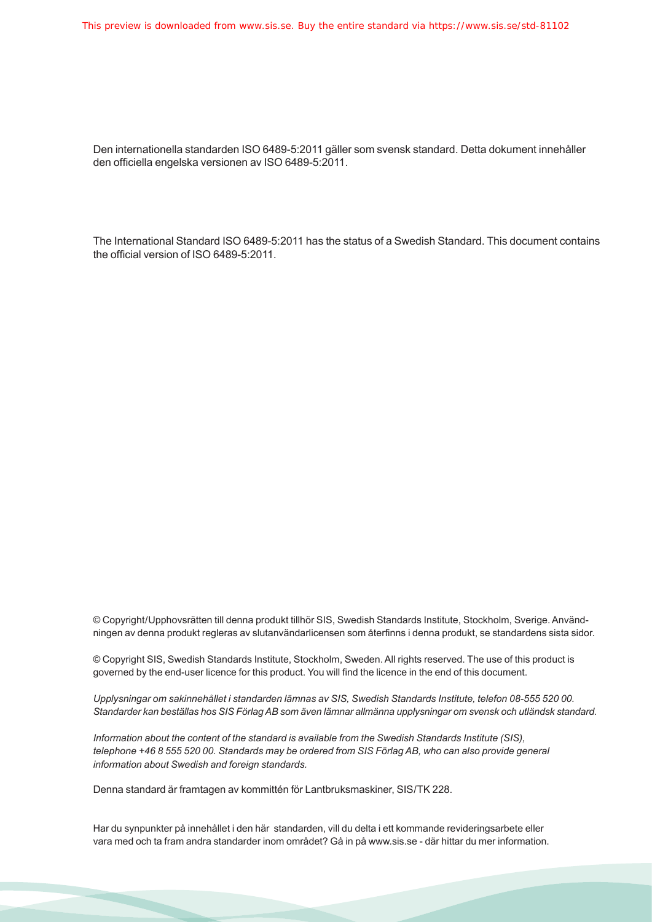Den internationella standarden ISO 6489-5:2011 gäller som svensk standard. Detta dokument innehåller den officiella engelska versionen av ISO 6489-5:2011.

The International Standard ISO 6489-5:2011 has the status of a Swedish Standard. This document contains the official version of ISO 6489-5:2011.

© Copyright/Upphovsrätten till denna produkt tillhör SIS, Swedish Standards Institute, Stockholm, Sverige. Användningen av denna produkt regleras av slutanvändarlicensen som återfinns i denna produkt, se standardens sista sidor.

© Copyright SIS, Swedish Standards Institute, Stockholm, Sweden. All rights reserved. The use of this product is governed by the end-user licence for this product. You will find the licence in the end of this document.

*Upplysningar om sakinnehållet i standarden lämnas av SIS, Swedish Standards Institute, telefon 08-555 520 00. Standarder kan beställas hos SIS Förlag AB som även lämnar allmänna upplysningar om svensk och utländsk standard.*

*Information about the content of the standard is available from the Swedish Standards Institute (SIS), telephone +46 8 555 520 00. Standards may be ordered from SIS Förlag AB, who can also provide general information about Swedish and foreign standards.*

Denna standard är framtagen av kommittén för Lantbruksmaskiner, SIS/TK 228.

Har du synpunkter på innehållet i den här standarden, vill du delta i ett kommande revideringsarbete eller vara med och ta fram andra standarder inom området? Gå in på www.sis.se - där hittar du mer information.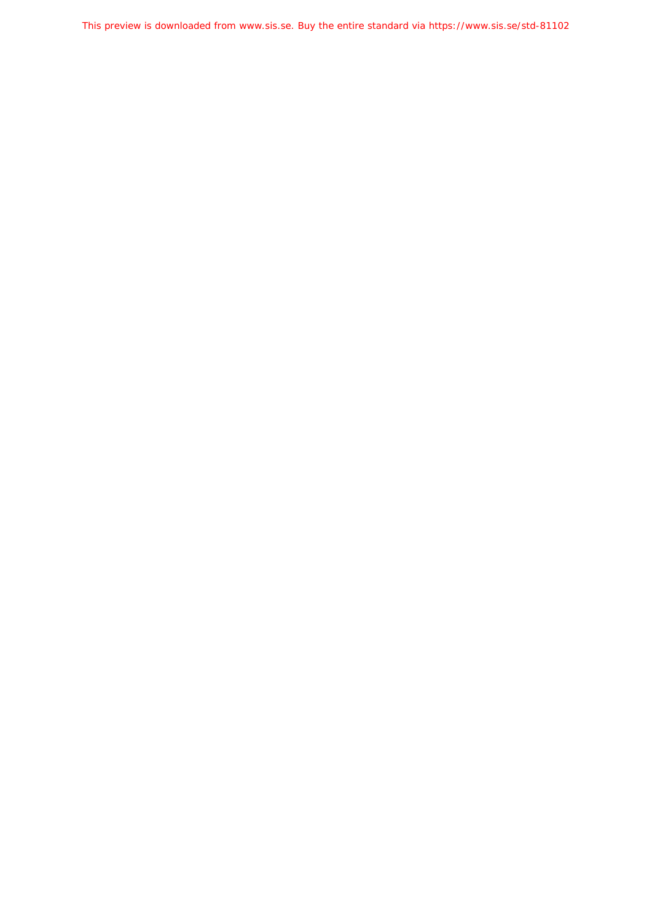This preview is downloaded from www.sis.se. Buy the entire standard via https://www.sis.se/std-81102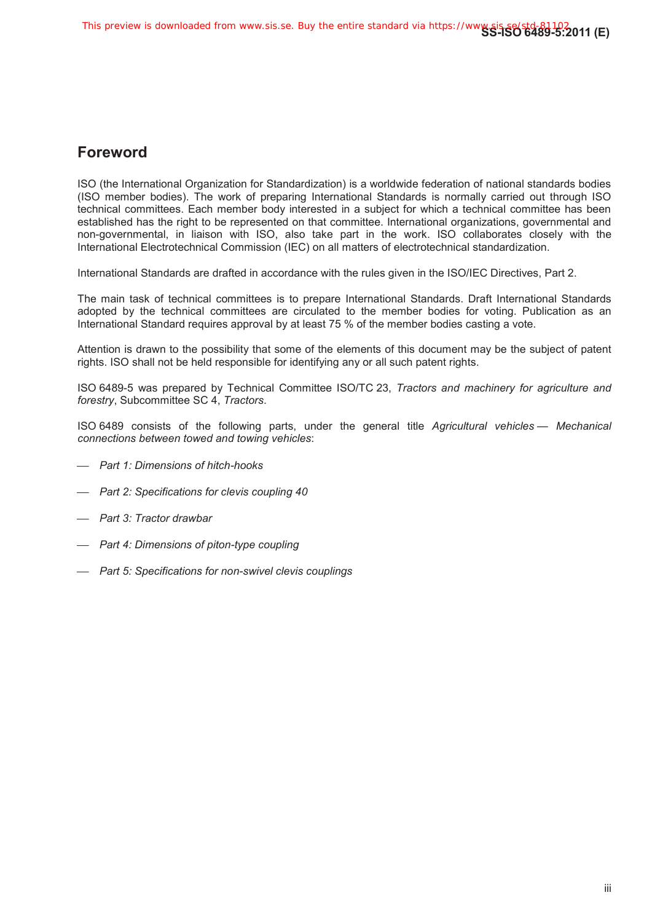## **Foreword**

ISO (the International Organization for Standardization) is a worldwide federation of national standards bodies (ISO member bodies). The work of preparing International Standards is normally carried out through ISO technical committees. Each member body interested in a subject for which a technical committee has been established has the right to be represented on that committee. International organizations, governmental and non-governmental, in liaison with ISO, also take part in the work. ISO collaborates closely with the International Electrotechnical Commission (IEC) on all matters of electrotechnical standardization.

International Standards are drafted in accordance with the rules given in the ISO/IEC Directives, Part 2.

The main task of technical committees is to prepare International Standards. Draft International Standards adopted by the technical committees are circulated to the member bodies for voting. Publication as an International Standard requires approval by at least 75 % of the member bodies casting a vote.

Attention is drawn to the possibility that some of the elements of this document may be the subject of patent rights. ISO shall not be held responsible for identifying any or all such patent rights.

ISO 6489-5 was prepared by Technical Committee ISO/TC 23, *Tractors and machinery for agriculture and forestry*, Subcommittee SC 4, *Tractors*.

ISO 6489 consists of the following parts, under the general title *Agricultural vehicles — Mechanical connections between towed and towing vehicles*:

- ⎯ *Part 1: Dimensions of hitch-hooks*
- ⎯ *Part 2: Specifications for clevis coupling 40*
- ⎯ *Part 3: Tractor drawbar*
- ⎯ *Part 4: Dimensions of piton-type coupling*
- ⎯ *Part 5: Specifications for non-swivel clevis couplings*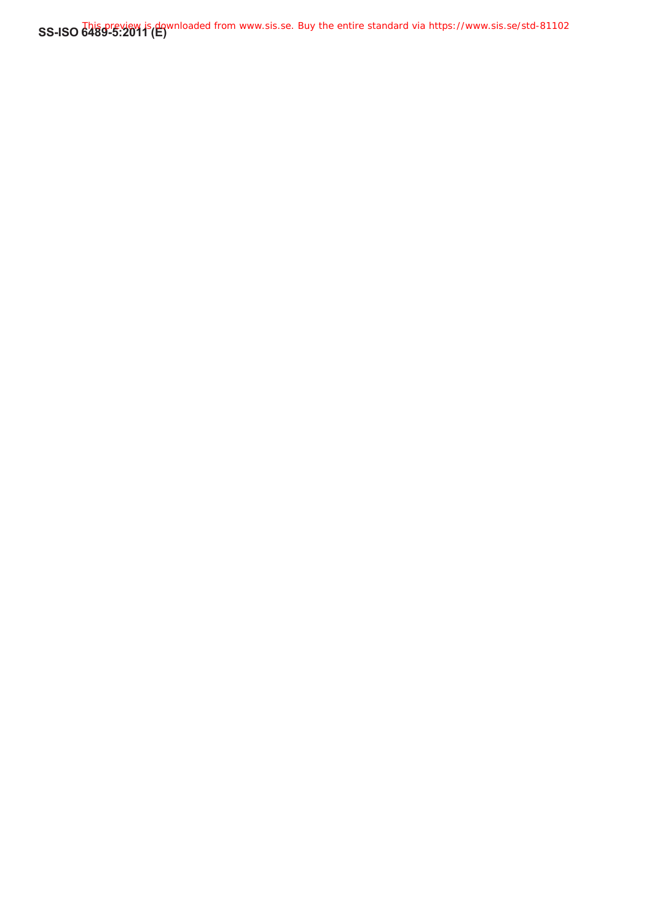**SS-ISO** *This preview is downloaded from www.sis.se. Buy the entire standard via https://www.sis.se/std-81102***<br>
SS-ISO 6489-5:2011 (E)**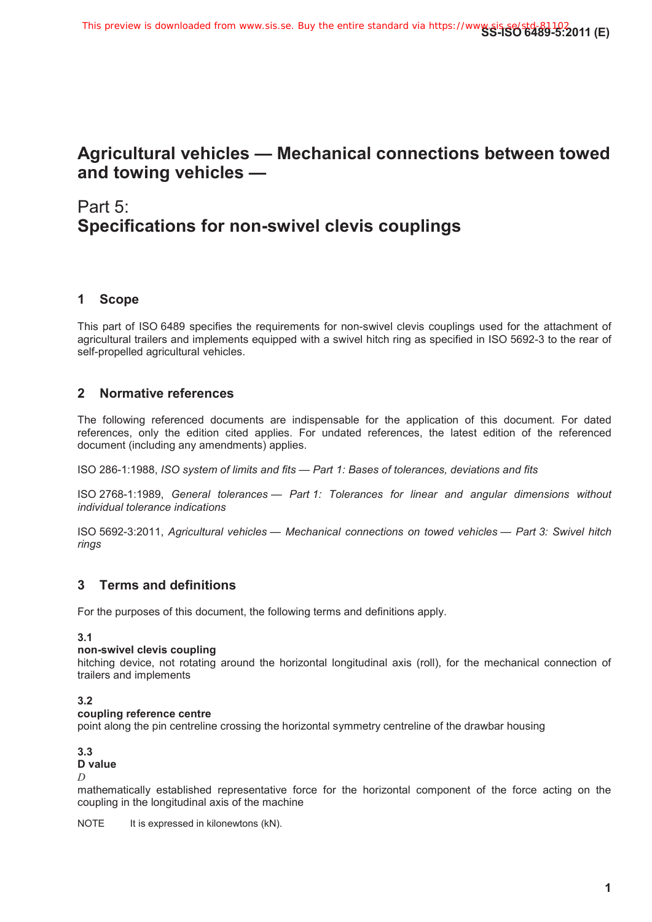## **Agricultural vehicles — Mechanical connections between towed and towing vehicles —**

## Part 5: **Specifications for non-swivel clevis couplings**

## **1 Scope**

This part of ISO 6489 specifies the requirements for non-swivel clevis couplings used for the attachment of agricultural trailers and implements equipped with a swivel hitch ring as specified in ISO 5692-3 to the rear of self-propelled agricultural vehicles.

## **2 Normative references**

The following referenced documents are indispensable for the application of this document. For dated references, only the edition cited applies. For undated references, the latest edition of the referenced document (including any amendments) applies.

ISO 286-1:1988, *ISO system of limits and fits — Part 1: Bases of tolerances, deviations and fits*

ISO 2768-1:1989, *General tolerances — Part 1: Tolerances for linear and angular dimensions without individual tolerance indications*

ISO 5692-3:2011, *Agricultural vehicles — Mechanical connections on towed vehicles — Part 3: Swivel hitch rings* 

## **3 Terms and definitions**

For the purposes of this document, the following terms and definitions apply.

## **3.1**

## **non-swivel clevis coupling**

hitching device, not rotating around the horizontal longitudinal axis (roll), for the mechanical connection of trailers and implements

## **3.2**

### **coupling reference centre**

point along the pin centreline crossing the horizontal symmetry centreline of the drawbar housing

## **3.3**

### **D value**

*D*

mathematically established representative force for the horizontal component of the force acting on the coupling in the longitudinal axis of the machine

NOTE It is expressed in kilonewtons (kN).